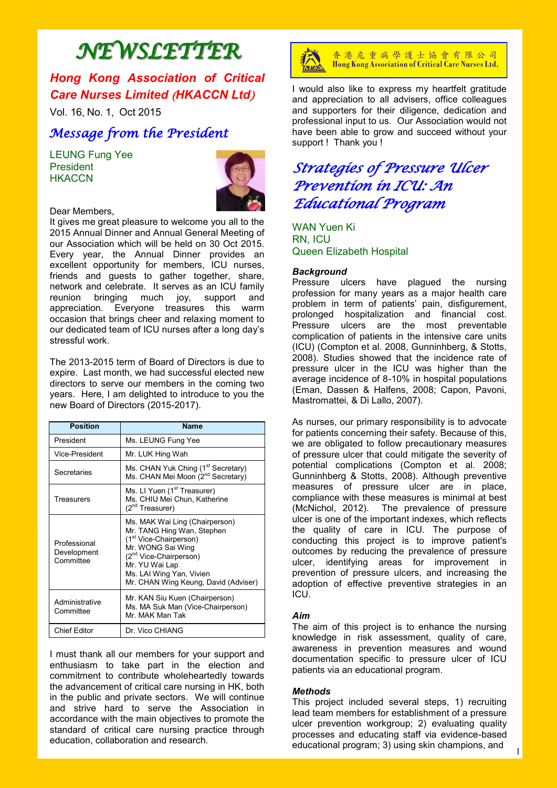# *NEWSLETTER*

## *Hong Kong Association of Critical Care Nurses Limited* (*HKACCN Ltd*)

Vol. 16, No. 1, Oct 2015

### *Message from the President*

LEUNG Fung Yee **President HKACCN** 



### Dear Members,

It gives me great pleasure to welcome you all to the 2015 Annual Dinner and Annual General Meeting of our Association which will be held on 30 Oct 2015. Every year, the Annual Dinner provides an excellent opportunity for members, ICU nurses, friends and guests to gather together, share, network and celebrate. It serves as an ICU family reunion bringing much joy, support and appreciation. Everyone treasures this warm occasion that brings cheer and relaxing moment to our dedicated team of ICU nurses after a long day's stressful work.

The 2013-2015 term of Board of Directors is due to expire. Last month, we had successful elected new directors to serve our members in the coming two years. Here, I am delighted to introduce to you the new Board of Directors (2015-2017).

| <b>Position</b>                          | <b>Name</b>                                                                                                                                                                                                                                         |
|------------------------------------------|-----------------------------------------------------------------------------------------------------------------------------------------------------------------------------------------------------------------------------------------------------|
| President                                | Ms. LEUNG Fung Yee                                                                                                                                                                                                                                  |
| Vice-President                           | Mr. LUK Hing Wah                                                                                                                                                                                                                                    |
| Secretaries                              | Ms. CHAN Yuk Ching (1 <sup>st</sup> Secretary)<br>Ms. CHAN Mei Moon (2 <sup>nd</sup> Secretary)                                                                                                                                                     |
| Treasurers                               | Ms. LI Yuen (1 <sup>st</sup> Treasurer)<br>Ms. CHIU Mei Chun, Katherine<br>(2 <sup>nd</sup> Treasurer)                                                                                                                                              |
| Professional<br>Development<br>Committee | Ms. MAK Wai Ling (Chairperson)<br>Mr. TANG Hing Wan, Stephen<br>(1 <sup>st</sup> Vice-Chairperson)<br>Mr. WONG Sai Wing<br>(2 <sup>nd</sup> Vice-Chairperson)<br>Mr. YU Wai Lap<br>Ms. LAI Wing Yan, Vivien<br>Mr. CHAN Wing Keung, David (Adviser) |
| Administrative<br>Committee              | Mr. KAN Siu Kuen (Chairperson)<br>Ms. MA Suk Man (Vice-Chairperson)<br>Mr. MAK Man Tak                                                                                                                                                              |
| <b>Chief Editor</b>                      | Dr. Vico CHIANG                                                                                                                                                                                                                                     |

I must thank all our members for your support and enthusiasm to take part in the election and commitment to contribute wholeheartedly towards the advancement of critical care nursing in HK, both in the public and private sectors. We will continue and strive hard to serve the Association in accordance with the main objectives to promote the standard of critical care nursing practice through education, collaboration and research.



香港危重病學護士協會有限公司 Hong Kong Association of Critical Care Nurses Ltd.

I would also like to express my heartfelt gratitude and appreciation to all advisers, office colleagues and supporters for their diligence, dedication and professional input to us. Our Association would not have been able to grow and succeed without your support ! Thank you !

# *Strategies of Pressure Ulcer Prevention in ICU: An Educational Program*

WAN Yuen Ki RN, ICU Queen Elizabeth Hospital

### *Background*

Pressure ulcers have plagued the nursing profession for many years as a major health care problem in term of patients' pain, disfigurement, prolonged hospitalization and financial cost. Pressure ulcers are the most preventable complication of patients in the intensive care units (ICU) (Compton et al. 2008, Gunninhberg, & Stotts, 2008). Studies showed that the incidence rate of pressure ulcer in the ICU was higher than the average incidence of 8-10% in hospital populations (Eman, Dassen & Halfens, 2008; Capon, Pavoni, Mastromattei, & Di Lallo, 2007).

As nurses, our primary responsibility is to advocate for patients concerning their safety. Because of this, we are obligated to follow precautionary measures of pressure ulcer that could mitigate the severity of potential complications (Compton et al. 2008; Gunninhberg & Stotts, 2008). Although preventive measures of pressure ulcer are in place, compliance with these measures is minimal at best (McNichol, 2012). The prevalence of pressure ulcer is one of the important indexes, which reflects the quality of care in ICU. The purpose of conducting this project is to improve patient's outcomes by reducing the prevalence of pressure ulcer, identifying areas for improvement in prevention of pressure ulcers, and increasing the adoption of effective preventive strategies in an ICU.

### *Aim*

The aim of this project is to enhance the nursing knowledge in risk assessment, quality of care, awareness in prevention measures and wound documentation specific to pressure ulcer of ICU patients via an educational program.

### *Methods*

This project included several steps, 1) recruiting lead team members for establishment of a pressure ulcer prevention workgroup; 2) evaluating quality processes and educating staff via evidence-based educational program; 3) using skin champions, and

1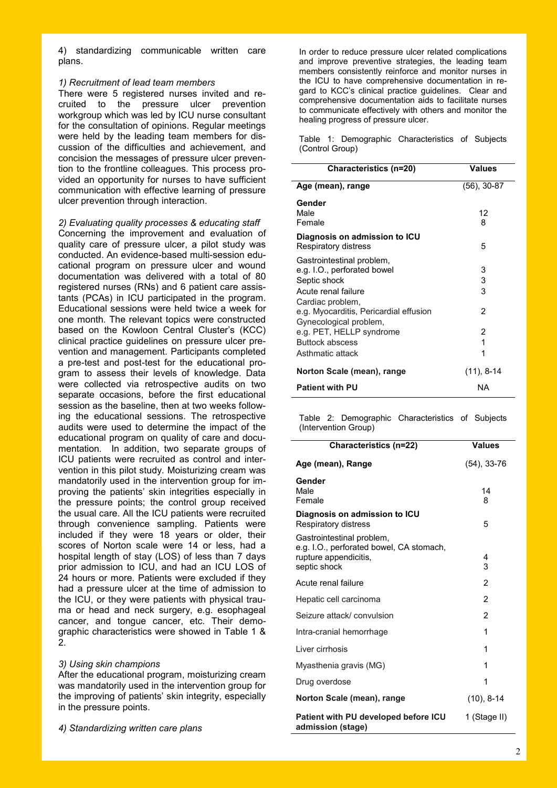4) standardizing communicable written care plans.

### *1) Recruitment of lead team members*

There were 5 registered nurses invited and recruited to the pressure ulcer prevention workgroup which was led by ICU nurse consultant for the consultation of opinions. Regular meetings were held by the leading team members for discussion of the difficulties and achievement, and concision the messages of pressure ulcer prevention to the frontline colleagues. This process provided an opportunity for nurses to have sufficient communication with effective learning of pressure ulcer prevention through interaction.

*2) Evaluating quality processes & educating staff*

Concerning the improvement and evaluation of quality care of pressure ulcer, a pilot study was conducted. An evidence-based multi-session educational program on pressure ulcer and wound documentation was delivered with a total of 80 registered nurses (RNs) and 6 patient care assistants (PCAs) in ICU participated in the program. Educational sessions were held twice a week for one month. The relevant topics were constructed based on the Kowloon Central Cluster's (KCC) clinical practice guidelines on pressure ulcer prevention and management. Participants completed a pre-test and post-test for the educational program to assess their levels of knowledge. Data were collected via retrospective audits on two separate occasions, before the first educational session as the baseline, then at two weeks following the educational sessions. The retrospective audits were used to determine the impact of the educational program on quality of care and documentation. In addition, two separate groups of ICU patients were recruited as control and intervention in this pilot study. Moisturizing cream was mandatorily used in the intervention group for improving the patients' skin integrities especially in the pressure points; the control group received the usual care. All the ICU patients were recruited through convenience sampling. Patients were included if they were 18 years or older, their scores of Norton scale were 14 or less, had a hospital length of stay (LOS) of less than 7 days prior admission to ICU, and had an ICU LOS of 24 hours or more. Patients were excluded if they had a pressure ulcer at the time of admission to the ICU, or they were patients with physical trauma or head and neck surgery, e.g. esophageal cancer, and tongue cancer, etc. Their demographic characteristics were showed in Table 1 &  $\mathcal{P}$ 

### *3) Using skin champions*

After the educational program, moisturizing cream was mandatorily used in the intervention group for the improving of patients' skin integrity, especially in the pressure points.

*4) Standardizing written care plans*

In order to reduce pressure ulcer related complications and improve preventive strategies, the leading team members consistently reinforce and monitor nurses in the ICU to have comprehensive documentation in regard to KCC's clinical practice guidelines. Clear and comprehensive documentation aids to facilitate nurses to communicate effectively with others and monitor the healing progress of pressure ulcer.

Table 1: Demographic Characteristics of Subjects (Control Group)

| Characteristics (n=20)                                                                          | <b>Values</b>  |
|-------------------------------------------------------------------------------------------------|----------------|
| Age (mean), range                                                                               | $(56)$ , 30-87 |
| Gender<br>Male<br>Female                                                                        | 12<br>8        |
| Diagnosis on admission to ICU<br>Respiratory distress                                           | 5              |
| Gastrointestinal problem,<br>e.g. I.O., perforated bowel<br>Septic shock<br>Acute renal failure | 3<br>3<br>3    |
| Cardiac problem,<br>e.g. Myocarditis, Pericardial effusion<br>Gynecological problem,            | 2              |
| e.g. PET, HELLP syndrome<br><b>Buttock abscess</b><br>Asthmatic attack                          | 2<br>1<br>1    |
| Norton Scale (mean), range                                                                      | $(11), 8-14$   |
| <b>Patient with PU</b>                                                                          | NA             |

Table 2: Demographic Characteristics of Subjects (Intervention Group)

| Characteristics (n=22)                                                                                         | <b>Values</b>  |
|----------------------------------------------------------------------------------------------------------------|----------------|
| Age (mean), Range                                                                                              | (54), 33-76    |
| Gender<br>Male<br>Female                                                                                       | 14<br>8        |
| Diagnosis on admission to ICU<br>Respiratory distress                                                          | 5              |
| Gastrointestinal problem,<br>e.g. I.O., perforated bowel, CA stomach,<br>rupture appendicitis,<br>septic shock | 4<br>3         |
| Acute renal failure                                                                                            | $\overline{2}$ |
| Hepatic cell carcinoma                                                                                         | $\overline{2}$ |
| Seizure attack/convulsion                                                                                      | $\overline{2}$ |
| Intra-cranial hemorrhage                                                                                       | 1              |
| Liver cirrhosis                                                                                                | 1              |
| Myasthenia gravis (MG)                                                                                         | 1              |
| Drug overdose                                                                                                  | 1              |
| Norton Scale (mean), range                                                                                     | $(10), 8-14$   |
| Patient with PU developed before ICU<br>admission (stage)                                                      | 1 (Stage II)   |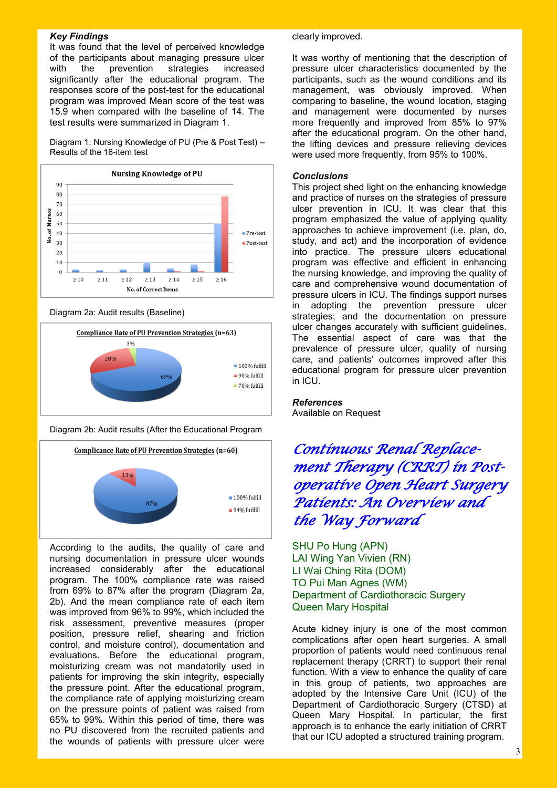### *Key Findings*

It was found that the level of perceived knowledge of the participants about managing pressure ulcer with the prevention strategies increased significantly after the educational program. The responses score of the post-test for the educational program was improved Mean score of the test was 15.9 when compared with the baseline of 14. The test results were summarized in Diagram 1.

Diagram 1: Nursing Knowledge of PU (Pre & Post Test) – Results of the 16-item test



Diagram 2a: Audit results (Baseline)



Diagram 2b: Audit results (After the Educational Program



According to the audits, the quality of care and nursing documentation in pressure ulcer wounds increased considerably after the educational program. The 100% compliance rate was raised from 69% to 87% after the program (Diagram 2a, 2b). And the mean compliance rate of each item was improved from 96% to 99%, which included the risk assessment, preventive measures (proper position, pressure relief, shearing and friction control, and moisture control), documentation and evaluations. Before the educational program, moisturizing cream was not mandatorily used in patients for improving the skin integrity, especially the pressure point. After the educational program, the compliance rate of applying moisturizing cream on the pressure points of patient was raised from 65% to 99%. Within this period of time, there was no PU discovered from the recruited patients and the wounds of patients with pressure ulcer were

### clearly improved.

It was worthy of mentioning that the description of pressure ulcer characteristics documented by the participants, such as the wound conditions and its management, was obviously improved. When comparing to baseline, the wound location, staging and management were documented by nurses more frequently and improved from 85% to 97% after the educational program. On the other hand, the lifting devices and pressure relieving devices were used more frequently, from 95% to 100%.

### *Conclusions*

This project shed light on the enhancing knowledge and practice of nurses on the strategies of pressure ulcer prevention in ICU. It was clear that this program emphasized the value of applying quality approaches to achieve improvement (i.e. plan, do, study, and act) and the incorporation of evidence into practice. The pressure ulcers educational program was effective and efficient in enhancing the nursing knowledge, and improving the quality of care and comprehensive wound documentation of pressure ulcers in ICU. The findings support nurses in adopting the prevention pressure ulcer strategies; and the documentation on pressure ulcer changes accurately with sufficient guidelines. The essential aspect of care was that the prevalence of pressure ulcer, quality of nursing care, and patients' outcomes improved after this educational program for pressure ulcer prevention in ICU.

### *References*

Available on Request

*Continuous Renal Replacement Therapy (CRRT) in Postoperative Open Heart Surgery Patients: An Overview and the Way Forward* 

SHU Po Hung (APN) LAI Wing Yan Vivien (RN) LI Wai Ching Rita (DOM) TO Pui Man Agnes (WM) Department of Cardiothoracic Surgery Queen Mary Hospital

Acute kidney injury is one of the most common complications after open heart surgeries. A small proportion of patients would need continuous renal replacement therapy (CRRT) to support their renal function. With a view to enhance the quality of care in this group of patients, two approaches are adopted by the Intensive Care Unit (ICU) of the Department of Cardiothoracic Surgery (CTSD) at Queen Mary Hospital. In particular, the first approach is to enhance the early initiation of CRRT that our ICU adopted a structured training program.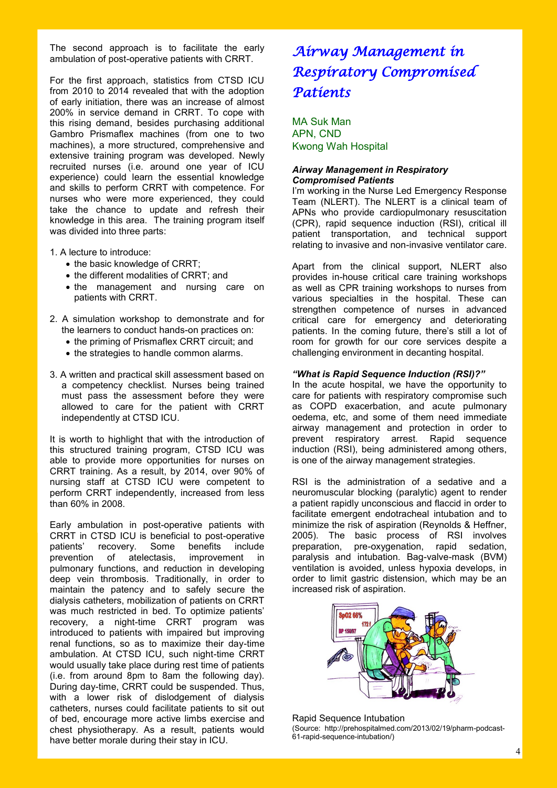The second approach is to facilitate the early ambulation of post-operative patients with CRRT.

For the first approach, statistics from CTSD ICU from 2010 to 2014 revealed that with the adoption of early initiation, there was an increase of almost 200% in service demand in CRRT. To cope with this rising demand, besides purchasing additional Gambro Prismaflex machines (from one to two machines), a more structured, comprehensive and extensive training program was developed. Newly recruited nurses (i.e. around one year of ICU experience) could learn the essential knowledge and skills to perform CRRT with competence. For nurses who were more experienced, they could take the chance to update and refresh their knowledge in this area. The training program itself was divided into three parts:

1. A lecture to introduce:

- the basic knowledge of CRRT;
- the different modalities of CRRT; and
- the management and nursing care on patients with CRRT.
- 2. A simulation workshop to demonstrate and for the learners to conduct hands-on practices on:
	- the priming of Prismaflex CRRT circuit; and
	- the strategies to handle common alarms.
- 3. A written and practical skill assessment based on a competency checklist. Nurses being trained must pass the assessment before they were allowed to care for the patient with CRRT independently at CTSD ICU.

It is worth to highlight that with the introduction of this structured training program, CTSD ICU was able to provide more opportunities for nurses on CRRT training. As a result, by 2014, over 90% of nursing staff at CTSD ICU were competent to perform CRRT independently, increased from less than 60% in 2008.

Early ambulation in post-operative patients with CRRT in CTSD ICU is beneficial to post-operative patients' recovery. Some benefits include prevention of atelectasis, improvement in pulmonary functions, and reduction in developing deep vein thrombosis. Traditionally, in order to maintain the patency and to safely secure the dialysis catheters, mobilization of patients on CRRT was much restricted in bed. To optimize patients' recovery, a night-time CRRT program was introduced to patients with impaired but improving renal functions, so as to maximize their day-time ambulation. At CTSD ICU, such night-time CRRT would usually take place during rest time of patients (i.e. from around 8pm to 8am the following day). During day-time, CRRT could be suspended. Thus, with a lower risk of dislodgement of dialysis catheters, nurses could facilitate patients to sit out of bed, encourage more active limbs exercise and chest physiotherapy. As a result, patients would have better morale during their stay in ICU.

# *Airway Management in Respiratory Compromised Patients*

MA Suk Man APN, CND Kwong Wah Hospital

### *Airway Management in Respiratory Compromised Patients*

I'm working in the Nurse Led Emergency Response Team (NLERT). The NLERT is a clinical team of APNs who provide cardiopulmonary resuscitation (CPR), rapid sequence induction (RSI), critical ill patient transportation, and technical support relating to invasive and non-invasive ventilator care.

Apart from the clinical support, NLERT also provides in-house critical care training workshops as well as CPR training workshops to nurses from various specialties in the hospital. These can strengthen competence of nurses in advanced critical care for emergency and deteriorating patients. In the coming future, there's still a lot of room for growth for our core services despite a challenging environment in decanting hospital.

### *"What is Rapid Sequence Induction (RSI)?"*

In the acute hospital, we have the opportunity to care for patients with respiratory compromise such as COPD exacerbation, and acute pulmonary oedema, etc, and some of them need immediate airway management and protection in order to prevent respiratory arrest. Rapid sequence induction (RSI), being administered among others, is one of the airway management strategies.

RSI is the administration of a sedative and a neuromuscular blocking (paralytic) agent to render a patient rapidly unconscious and flaccid in order to facilitate emergent endotracheal intubation and to minimize the risk of aspiration (Reynolds & Heffner, 2005). The basic process of RSI involves preparation, pre-oxygenation, rapid sedation, paralysis and intubation. Bag-valve-mask (BVM) ventilation is avoided, unless hypoxia develops, in order to limit gastric distension, which may be an increased risk of aspiration.



Rapid Sequence Intubation (Source: http://prehospitalmed.com/2013/02/19/pharm-podcast-61-rapid-sequence-intubation/)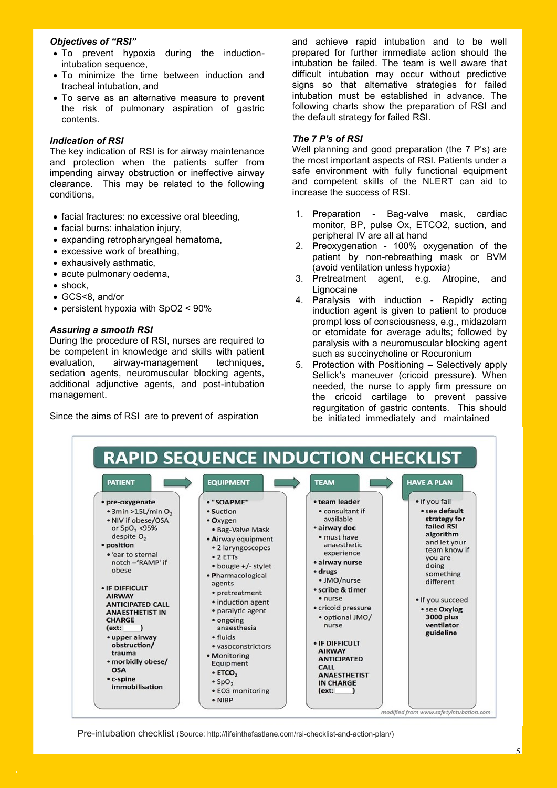### *Objectives of "RSI"*

- To prevent hypoxia during the inductionintubation sequence,
- To minimize the time between induction and tracheal intubation, and
- To serve as an alternative measure to prevent the risk of pulmonary aspiration of gastric contents.

### *Indication of RSI*

The key indication of RSI is for airway maintenance and protection when the patients suffer from impending airway obstruction or ineffective airway clearance. This may be related to the following conditions,

- facial fractures: no excessive oral bleeding,
- facial burns: inhalation injury,
- expanding retropharyngeal hematoma,
- excessive work of breathing,
- exhausively asthmatic,
- acute pulmonary oedema.
- shock.
- GCS<8, and/or
- persistent hypoxia with SpO2 < 90%

### *Assuring a smooth RSI*

During the procedure of RSI, nurses are required to be competent in knowledge and skills with patient evaluation, airway-management techniques, sedation agents, neuromuscular blocking agents, additional adjunctive agents, and post-intubation management.

Since the aims of RSI are to prevent of aspiration

and achieve rapid intubation and to be well prepared for further immediate action should the intubation be failed. The team is well aware that difficult intubation may occur without predictive signs so that alternative strategies for failed intubation must be established in advance. The following charts show the preparation of RSI and the default strategy for failed RSI.

### *The 7 P's of RSI*

Well planning and good preparation (the 7 P's) are the most important aspects of RSI. Patients under a safe environment with fully functional equipment and competent skills of the NLERT can aid to increase the success of RSI.

- 1. **P**reparation Bag-valve mask, cardiac monitor, BP, pulse Ox, ETCO2, suction, and peripheral IV are all at hand
- 2. **P**reoxygenation 100% oxygenation of the patient by non-rebreathing mask or BVM (avoid ventilation unless hypoxia)
- 3. **P**retreatment agent, e.g. Atropine, and Lignocaine
- 4. **P**aralysis with induction Rapidly acting induction agent is given to patient to produce prompt loss of consciousness, e.g., midazolam or etomidate for average adults; followed by paralysis with a neuromuscular blocking agent such as succinycholine or Rocuronium
- 5. **P**rotection with Positioning Selectively apply Sellick's maneuver (cricoid pressure). When needed, the nurse to apply firm pressure on the cricoid cartilage to prevent passive regurgitation of gastric contents. This should be initiated immediately and maintained



Pre-intubation checklist (Source: http://lifeinthefastlane.com/rsi-checklist-and-action-plan/)